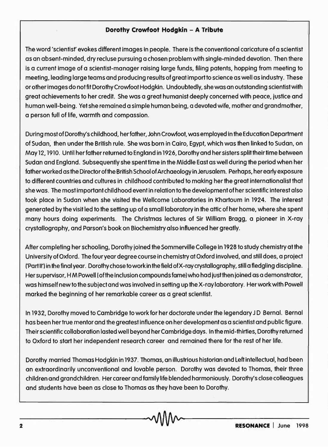## **Dorothy Crowfoot Hodgkin - A Tribute**

The word 'scientisf evokes different images in people. There is the conventional caricature of a scientist as an absent-minded, dry recluse pursuing a chosen problem with single-minded devotion. Then there is a current image of a scientist-manager raising large funds, filing patents, hopping from meeting to meeting, leading large teams and producing results of great import to science as well as industry. These or other images do not fit Dorothy Crowfoot Hodgkin. Undoubtedly, she was an outstanding scientist with great achievements to her credit. She was a great humanist deeply concerned with peace, justice and human well-being. Yet she remained a simple human being, a devoted wife, mother and grandmother, a person full of life, warmth and compassion.

During most of Dorothy's childhood, herfather, John Crowfoot, was employed in the Education Department of Sudan, then under the British rule. She was born in Cairo, Egypt, which was then linked to Sudan, on May 12, 1910. Until her father returned to England in 1926, Dorothy and her sisters split their time between Sudan and England. Subsequently she spenttime in the Middle East as well during the period when her father worked as the Director of the British School of Archaeology in Jerusalem. Perhaps, her early exposure to different countries and cultures in childhood contributed to making her the great internationalist that she was. The most important childhood event in relation to the development of her scientific interest also took place in Sudan when she visited the Wellcome Laboratories in Khartoum in 1924. The interest generated by the visit led to the setting up of a small laboratory in the attic of her home, where she spent many hours doing experiments. The Christmas lectures of Sir William Bragg, a pioneer in X-ray crystallography, and Parson's book on Biochemistry also influenced her greatly.

After completing her schooling, Dorothy joined the Sommerville College in 1928 to study chemistry at the University of Oxford. The four year degree course in chemistry at Oxford involved, and still does, a project ('Part 11') in the final year. Dorothy chose to work in the field of X-ray crystallography, still a fledgling discipline. Her supervisor, H M Powell (of the inclusion compounds fame) who had just then joined as a demonstrator, was himself new to the subject and was involved in setting up the X-ray laboratory. Her work with Powell marked the beginning of her remarkable career as a great scientist.

In 1932, Dorothy moved to Cambridge to work for her doctorate under the legendary JD Bernal. Bernal has been her true mentor and the greatest influence on her development as a scientist and public figure. Their scientific collaboration lasted well beyond her Cambridge days. In the mid-thirties, Dorothy returned to Oxford to start her independent research career and remained there for the rest of her life.

Dorothy married Thomas Hodgkin in 1937. Thomas, an illustrious historian and Left intellectual, had been an extraordinarily unconventional and lovable person. Dorothy was devoted to Thomas, their three children and grandchildren. Her career and family life blended harmoniously. Dorothy's close colleagues and students have been as close to Thomas as they have been to Dorothy.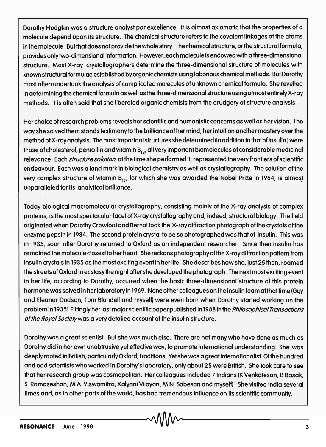Dorothy Hodgkin was a structure analyst par excellence. It is almost axiomatic that the properties of a molecule depend upon its structure. The chemical structure refers to the covalent linkages of the atoms in the molecule. But that does not provide the whole story. The chemical structure, or the structural formula, provides only two-dimensional information. However, each molecule is endowed with a three-dimensional structure. Most X-ray crystallographers determine the three-dimensional structure of molecules with known structural formulae established by organic chemists using laborious chemical methods. But Dorothy most often undertook the analysis of complicated molecules of unknown chemical formula. She revelled in determining the chemical formula as well as the three-dimensional structure using almost entirely X-ray methods. It is often said that she liberated organic chemists from the drudgery of structure analysis.

Her choice of research problems reveals her scientific and humanistic concerns as well as her vision. The way she solved them stands testimony to the brilliance of her mind, her intuition and her mastery over the method of X-ray analysis. The most important structures she determined (in addition to that of insulin) were those of cholesterol, penicillin and vitamin  $B_{12}$ , all very important biomolecules of considerable medicinal relevance. Each *structure solution*, at the time she performed it, represented the very frontiers of scientific endeavour. Each was a land mark in biological chemistry as well as crystallography. The solution of the very complex structure of vitamin  $B_{12}$ , for which she was awarded the Nobel Prize in 1964, is almost unparalleled for its analytical brilliance.

Today biological macromolecular crystallography, consisting mainly of the X-ray analysis of complex proteins, is the most spectacular facet of X-ray crystallography and, indeed, structural biology. The field originated when Dorothy Crowfoot and Bernal took the X-ray diffraction photograph ofthe crystals of the enzyme pepsin in 1934. The second protein crystal to be so photographed was that of insulin. This was in 1935, soon after Dorothy returned to Oxford as an independent researcher. Since then insulin has remained the molecule closest to her heart. She reckons photography ofthe X-ray diffraction pattern from insulin crystals in 1935 as the most exciting event in her life. She describes how she, just 25 then, roamed the streets of Oxford in ecstasy the night after she developed the photograph. The next most exciting event in her life, according to Dorothy, occurred when the basic three-dimensional structure of this protein hormone was solved in her laboratory in 1969. None of her colleagues on the insulin team atthattime (Guy and Eleanor Dodson, Tom Blundell and myself) were even born when Dorothy started working on the problem in 1935! Fittingly her last major scientific paper published in 1988 in the *Philosophical Transactions* of the Royal Society was a very detailed account of the insulin structure.

Dorothy was a great scientist. But she was much else. There are not many who have done as much as Dorothy did in her own unobtrusive yet effective way, to promote international understanding. She was deeply rooted in British, particularly Oxford, traditions. Yet she was a great internationalist. Ofthe hundred and odd scientists who worked in Dorothy's laboratory, only about 25 were British. She took care to see that her research group was cosmopolitan. Her colleagues included 7 Indians (K Venkatesan, B Basak, S Ramaseshan, M A Viswamitra, Kalyani Vijayan. M N Sabesan and myself). She visited Indio several times and, as in other parts of the world, has had tremendous influence on its scientific community.